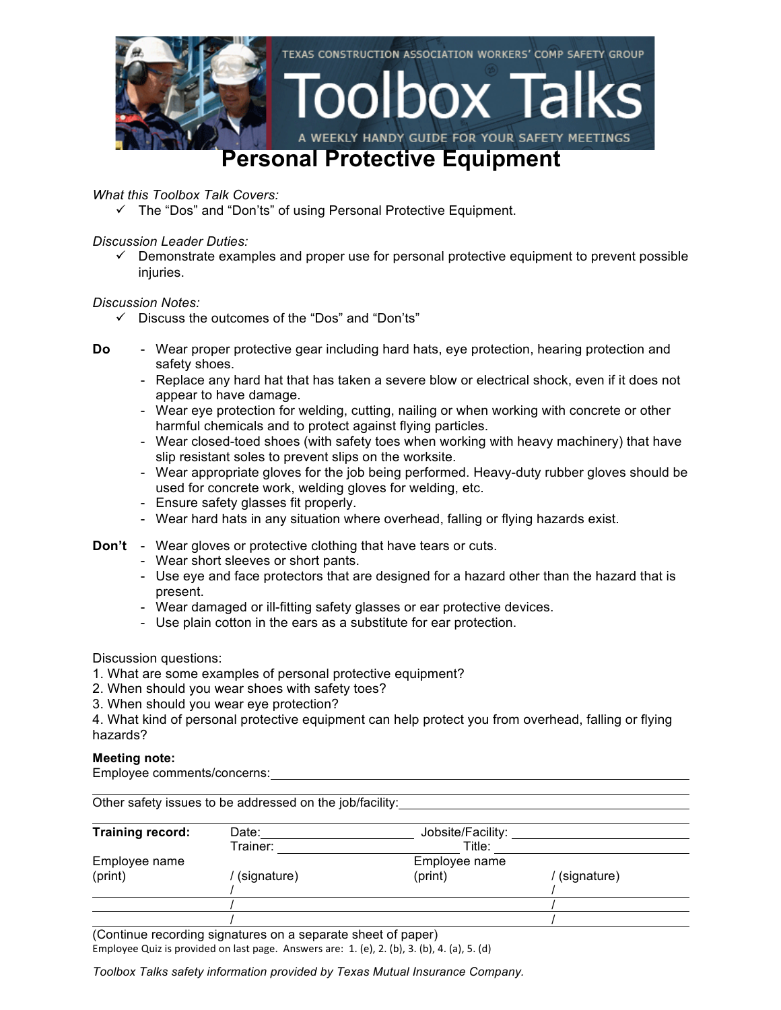

*What this Toolbox Talk Covers:*

 $\checkmark$  The "Dos" and "Don'ts" of using Personal Protective Equipment.

*Discussion Leader Duties:*

 $\checkmark$  Demonstrate examples and proper use for personal protective equipment to prevent possible injuries.

*Discussion Notes:*

- $\checkmark$  Discuss the outcomes of the "Dos" and "Don'ts"
- **Do** Wear proper protective gear including hard hats, eye protection, hearing protection and safety shoes.
	- Replace any hard hat that has taken a severe blow or electrical shock, even if it does not appear to have damage.
	- Wear eye protection for welding, cutting, nailing or when working with concrete or other harmful chemicals and to protect against flying particles.
	- Wear closed-toed shoes (with safety toes when working with heavy machinery) that have slip resistant soles to prevent slips on the worksite.
	- Wear appropriate gloves for the job being performed. Heavy-duty rubber gloves should be used for concrete work, welding gloves for welding, etc.
	- Ensure safety glasses fit properly.
	- Wear hard hats in any situation where overhead, falling or flying hazards exist.
- **Don't** Wear gloves or protective clothing that have tears or cuts.
	- Wear short sleeves or short pants.
	- Use eye and face protectors that are designed for a hazard other than the hazard that is present.
	- Wear damaged or ill-fitting safety glasses or ear protective devices.
	- Use plain cotton in the ears as a substitute for ear protection.

Discussion questions:

- 1. What are some examples of personal protective equipment?
- 2. When should you wear shoes with safety toes?
- 3. When should you wear eye protection?

4. What kind of personal protective equipment can help protect you from overhead, falling or flying hazards?

#### **Meeting note:**

Employee comments/concerns:

| Training record: | Date:       | Jobsite/Facility: |             |
|------------------|-------------|-------------------|-------------|
|                  | Trainer:    | Title:            |             |
| Employee name    |             | Employee name     |             |
| (print)          | (signature) | (print)           | (signature) |
|                  |             |                   |             |
|                  |             |                   |             |
|                  |             |                   |             |

(Continue recording signatures on a separate sheet of paper)

Employee Quiz is provided on last page. Answers are:  $1.$  (e),  $2.$  (b),  $3.$  (b),  $4.$  (a),  $5.$  (d)

*Toolbox Talks safety information provided by Texas Mutual Insurance Company.*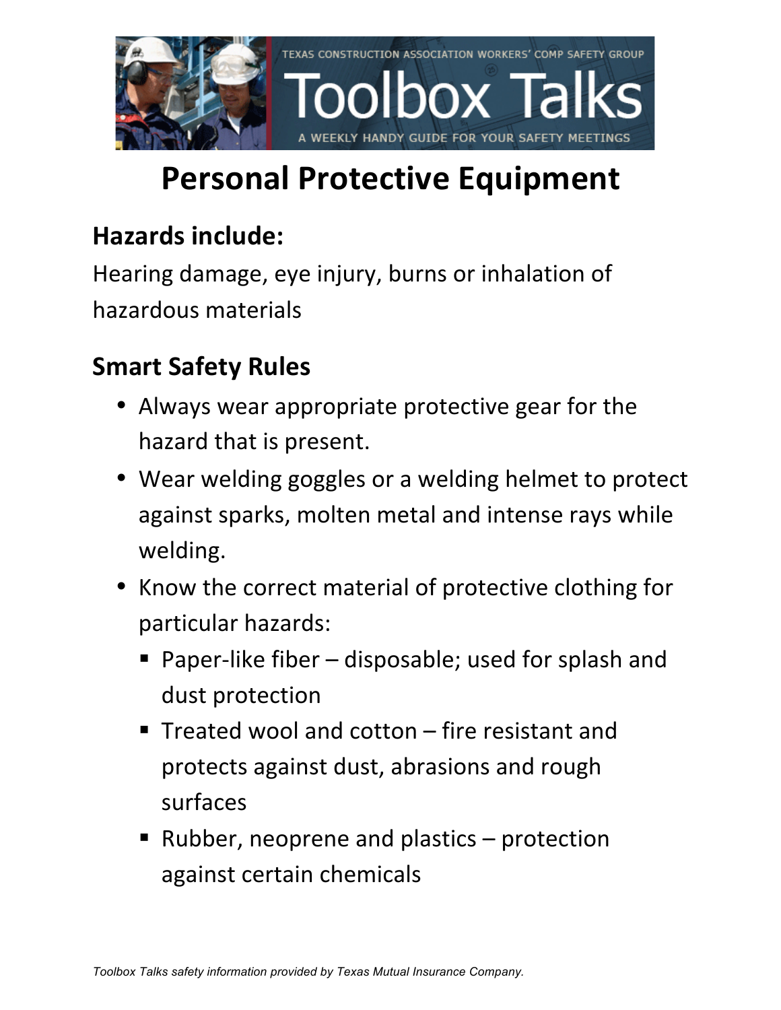

# **Personal Protective Equipment**

### **Hazards include:**

Hearing damage, eye injury, burns or inhalation of hazardous materials

### **Smart Safety Rules**

- Always wear appropriate protective gear for the hazard that is present.
- Wear welding goggles or a welding helmet to protect against sparks, molten metal and intense rays while welding.
- Know the correct material of protective clothing for particular hazards:
	- **•** Paper-like fiber  $-$  disposable; used for splash and dust protection
	- **F** Treated wool and cotton  $-$  fire resistant and protects against dust, abrasions and rough surfaces
	- Rubber, neoprene and plastics  $-$  protection against certain chemicals